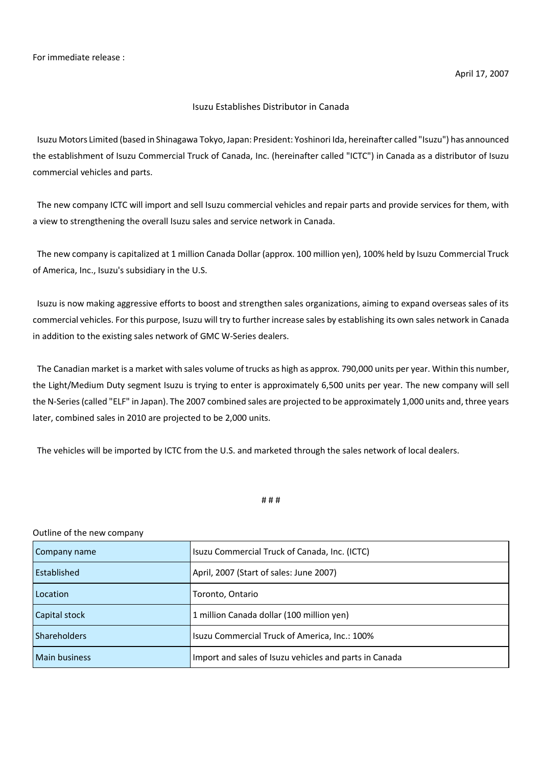## Isuzu Establishes Distributor in Canada

Isuzu Motors Limited (based in Shinagawa Tokyo, Japan: President: Yoshinori Ida, hereinafter called "Isuzu") has announced the establishment of Isuzu Commercial Truck of Canada, Inc. (hereinafter called "ICTC") in Canada as a distributor of Isuzu commercial vehicles and parts.

The new company ICTC will import and sell Isuzu commercial vehicles and repair parts and provide services for them, with a view to strengthening the overall Isuzu sales and service network in Canada.

The new company is capitalized at 1 million Canada Dollar (approx. 100 million yen), 100% held by Isuzu Commercial Truck of America, Inc., Isuzu's subsidiary in the U.S.

Isuzu is now making aggressive efforts to boost and strengthen sales organizations, aiming to expand overseas sales of its commercial vehicles. For this purpose, Isuzu will try to further increase sales by establishing its own sales network in Canada in addition to the existing sales network of GMC W-Series dealers.

The Canadian market is a market with sales volume of trucks as high as approx. 790,000 units per year. Within this number, the Light/Medium Duty segment Isuzu is trying to enter is approximately 6,500 units per year. The new company will sell the N-Series (called "ELF" in Japan). The 2007 combined sales are projected to be approximately 1,000 units and, three years later, combined sales in 2010 are projected to be 2,000 units.

The vehicles will be imported by ICTC from the U.S. and marketed through the sales network of local dealers.

## # # #

## Outline of the new company

| Company name         | Isuzu Commercial Truck of Canada, Inc. (ICTC)          |
|----------------------|--------------------------------------------------------|
| l Established        | April, 2007 (Start of sales: June 2007)                |
| Location             | Toronto, Ontario                                       |
| Capital stock        | 1 million Canada dollar (100 million yen)              |
| Shareholders         | Isuzu Commercial Truck of America, Inc.: 100%          |
| <b>Main business</b> | Import and sales of Isuzu vehicles and parts in Canada |